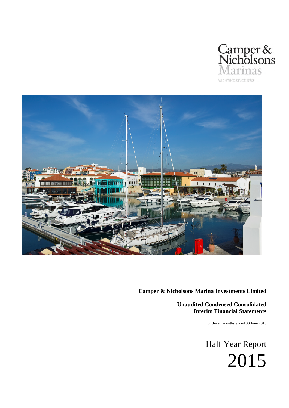



**Unaudited Condensed Consolidated Interim Financial Statements**

for the six months ended 30 June 2015

Half Year Report 2015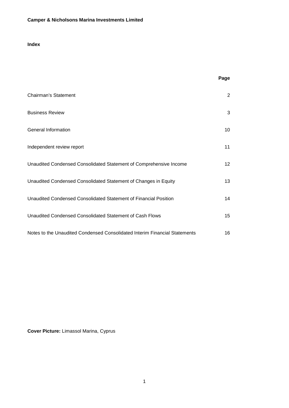# **Index**

|                                                                            | Page            |
|----------------------------------------------------------------------------|-----------------|
| <b>Chairman's Statement</b>                                                | 2               |
| <b>Business Review</b>                                                     | 3               |
| General Information                                                        | 10              |
| Independent review report                                                  | 11              |
| Unaudited Condensed Consolidated Statement of Comprehensive Income         | 12 <sup>2</sup> |
| Unaudited Condensed Consolidated Statement of Changes in Equity            | 13              |
| Unaudited Condensed Consolidated Statement of Financial Position           | 14              |
| Unaudited Condensed Consolidated Statement of Cash Flows                   | 15              |
| Notes to the Unaudited Condensed Consolidated Interim Financial Statements | 16              |

**Cover Picture:** Limassol Marina, Cyprus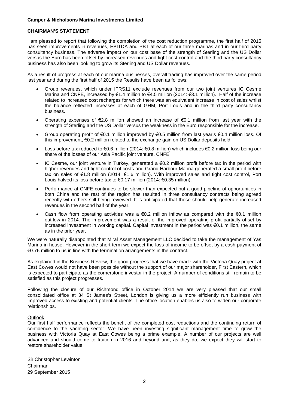### **CHAIRMAN'S STATEMENT**

I am pleased to report that following the completion of the cost reduction programme, the first half of 2015 has seen improvements in revenues, EBITDA and PBT at each of our three marinas and in our third party consultancy business. The adverse impact on our cost base of the strength of Sterling and the US Dollar versus the Euro has been offset by increased revenues and tight cost control and the third party consultancy business has also been looking to grow its Sterling and US Dollar revenues.

As a result of progress at each of our marina businesses, overall trading has improved over the same period last year and during the first half of 2015 the Results have been as follows:

- Group revenues, which under IFRS11 exclude revenues from our two joint ventures IC Cesme Marina and CNFE, increased by €1.4 million to €4.5 million (2014: €3.1 million). Half of the increase related to increased cost recharges for which there was an equivalent increase in cost of sales whilst the balance reflected increases at each of GHM, Port Louis and in the third party consultancy business.
- Operating expenses of €2.8 million showed an increase of €0.1 million from last year with the strength of Sterling and the US Dollar versus the weakness in the Euro responsible for the increase.
- Group operating profit of €0.1 million improved by €0.5 million from last year's €0.4 million loss. Of this improvement, €0.2 million related to the exchange gain on US Dollar deposits held.
- Loss before tax reduced to €0.6 million (2014: €0.8 million) which includes €0.2 million loss being our share of the losses of our Asia Pacific joint venture, CNFE.
- IC Cesme, our joint venture in Turkey, generated a  $\epsilon$ 0.2 million profit before tax in the period with higher revenues and tight control of costs and Grand Harbour Marina generated a small profit before tax on sales of €1.8 million (2014: €1.6 million). With improved sales and tight cost control, Port Louis halved its loss before tax to €0.17 million (2014: €0.35 million).
- Performance at CNFE continues to be slower than expected but a good pipeline of opportunities in both China and the rest of the region has resulted in three consultancy contracts being agreed recently with others still being reviewed. It is anticipated that these should help generate increased revenues in the second half of the year.
- Cash flow from operating activities was a  $\epsilon$ 0.2 million inflow as compared with the  $\epsilon$ 0.1 million outflow in 2014. The improvement was a result of the improved operating profit partially offset by increased investment in working capital. Capital investment in the period was €0.1 million, the same as in the prior year.

We were naturally disappointed that Miral Asset Management LLC decided to take the management of Yas Marina in house. However in the short term we expect the loss of income to be offset by a cash payment of €0.76 million to us in line with the termination arrangements in the contract.

As explained in the Business Review, the good progress that we have made with the Victoria Quay project at East Cowes would not have been possible without the support of our major shareholder, First Eastern, which is expected to participate as the cornerstone investor in the project. A number of conditions still remain to be satisfied as this project progresses.

Following the closure of our Richmond office in October 2014 we are very pleased that our small consolidated office at 34 St James's Street, London is giving us a more efficiently run business with improved access to existing and potential clients. The office location enables us also to widen our corporate relationships.

## Outlook

Our first half performance reflects the benefit of the completed cost reductions and the continuing return of confidence to the yachting sector. We have been investing significant management time to grow the business with Victoria Quay at East Cowes being a prime example. A number of our projects are well advanced and should come to fruition in 2016 and beyond and, as they do, we expect they will start to restore shareholder value.

Sir Christopher Lewinton Chairman 29 September 2015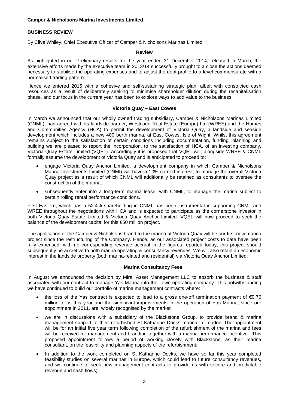# **BUSINESS REVIEW**

By Clive Whiley, Chief Executive Officer of Camper & Nicholsons Marinas Limited

#### **Review**

As highlighted in our Preliminary results for the year ended 31 December 2014, released in March, the extensive efforts made by the executive team in 2013/14 successfully brought to a close the actions deemed necessary to stabilise the operating expenses and to adjust the debt profile to a level commensurate with a normalised trading pattern.

Hence we entered 2015 with a cohesive and self-sustaining strategic plan, albeit with constricted cash resources as a result of deliberately seeking to minimise shareholder dilution during the recapitalisation phase, and our focus in the current year has been to explore ways to add value to the business:

### **Victoria Quay – East Cowes**

In March we announced that our wholly owned trading subsidiary, Camper & Nicholsons Marinas Limited (CNML), had agreed with its landside partner, Westcourt Real Estate (Europe) Ltd (WREE) and the Homes and Communities Agency (HCA) to permit the development of Victoria Quay, a landside and seaside development which includes a new 400 berth marina, at East Cowes, Isle of Wight. Whilst this agreement remains subject to the satisfaction of certain conditions including documentation, funding, planning and building we are pleased to report the incorporation, to the satisfaction of HCA, of an investing company, Victoria Quay Estate Limited (VQEL). Accordingly it is proposed that VQEL will, alongside WREE & CNML formally assume the development of Victoria Quay and is anticipated to proceed to:

- engage Victoria Quay Anchor Limited, a development company in which Camper & Nicholsons Marina Investments Limited (CNMI) will have a 10% carried interest, to manage the overall Victoria Quay project as a result of which CNML will additionally be retained as consultants to oversee the construction of the marina;
- subsequently enter into a long-term marina lease, with CNML, to manage the marina subject to certain rolling rental performance conditions.

First Eastern, which has a 52.4% shareholding in CNMI, has been instrumental in supporting CNML and WREE throughout the negotiations with HCA and is expected to participate as the cornerstone investor in both Victoria Quay Estate Limited & Victoria Quay Anchor Limited. VQEL will now proceed to seek the balance of the development capital for this £50 million project.

The application of the Camper & Nicholsons brand to the marina at Victoria Quay will be our first new marina project since the restructuring of the Company. Hence, as our associated project costs to date have been fully expensed, with no corresponding revenue accrual in the figures reported today, this project should subsequently be accretive to both marina operating & consultancy revenues. We will also retain an economic interest in the landside property (both marina-related and residential) via Victoria Quay Anchor Limited.

### **Marina Consultancy Fees**

In August we announced the decision by Miral Asset Management LLC to absorb the business & staff associated with our contract to manage Yas Marina into their own operating company. This notwithstanding we have continued to build our portfolio of marina management contracts where:

- the loss of the Yas contract is expected to lead to a gross one-off termination payment of €0.76 million to us this year and the significant improvements in the operation of Yas Marina, since our appointment in 2011, are widely recognised by the market;
- we are in discussions with a subsidiary of the Blackstone Group, to provide brand & marina management support to their refurbished St Katharine Docks marina in London. The appointment will be for an initial five year term following completion of the refurbishment of the marina and fees will be received for management and branding together with a marina performance incentive. This proposed appointment follows a period of working closely with Blackstone, as their marina consultant, on the feasibility and planning aspects of the refurbishment;
- In addition to the work completed on St Katharine Docks, we have so far this year completed feasibility studies on several marinas in Europe, which could lead to future consultancy revenues, and we continue to seek new management contracts to provide us with secure and predictable revenue and cash flows;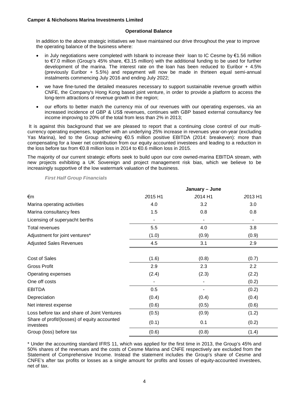### **Operational Balance**

In addition to the above strategic initiatives we have maintained our drive throughout the year to improve the operating balance of the business where:

- in July negotiations were completed with Isbank to increase their loan to IC Cesme by €1.56 million to €7.0 million (Group's 45% share, €3.15 million) with the additional funding to be used for further development of the marina. The interest rate on the loan has been reduced to Euribor + 4.5% (previously Euribor + 5.5%) and repayment will now be made in thirteen equal semi-annual instalments commencing July 2016 and ending July 2022;
- we have fine-tuned the detailed measures necessary to support sustainable revenue growth within CNFE, the Company's Hong Kong based joint venture, in order to provide a platform to access the long-term attractions of revenue growth in the region;
- our efforts to better match the currency mix of our revenues with our operating expenses, via an increased incidence of GBP & US\$ revenues, continues with GBP based external consultancy fee income improving to 20% of the total from less than 2% in 2013;

It is against this background that we are pleased to report that a continuing close control of our multicurrency operating expenses, together with an underlying 25% increase in revenues year-on-year (excluding Yas Marina), led to the Group achieving  $\epsilon$ 0.5 million positive EBITDA (2014: breakeven): more than compensating for a lower net contribution from our equity accounted investees and leading to a reduction in the loss before tax from €0.8 million loss in 2014 to €0.6 million loss in 2015.

The majority of our current strategic efforts seek to build upon our core owned-marina EBITDA stream, with new projects exhibiting a UK Sovereign and project management risk bias, which we believe to be increasingly supportive of the low watermark valuation of the business.

*First Half Group Financials*

|                                                           | January - June |         |         |
|-----------------------------------------------------------|----------------|---------|---------|
| €m                                                        | 2015 H1        | 2014 H1 | 2013 H1 |
| Marina operating activities                               | 4.0            | 3.2     | 3.0     |
| Marina consultancy fees                                   | 1.5            | 0.8     | 0.8     |
| Licensing of superyacht berths                            |                |         |         |
| Total revenues                                            | 5.5            | 4.0     | 3.8     |
| Adjustment for joint ventures*                            | (1.0)          | (0.9)   | (0.9)   |
| <b>Adjusted Sales Revenues</b>                            | 4.5            | 3.1     | 2.9     |
| <b>Cost of Sales</b>                                      | (1.6)          | (0.8)   | (0.7)   |
| <b>Gross Profit</b>                                       | 2.9            | 2.3     | 2.2     |
| Operating expenses                                        | (2.4)          | (2.3)   | (2.2)   |
| One off costs                                             |                |         | (0.2)   |
| <b>EBITDA</b>                                             | 0.5            |         | (0.2)   |
| Depreciation                                              | (0.4)          | (0.4)   | (0.4)   |
| Net interest expense                                      | (0.6)          | (0.5)   | (0.6)   |
| Loss before tax and share of Joint Ventures               | (0.5)          | (0.9)   | (1.2)   |
| Share of profit/(losses) of equity accounted<br>investees | (0.1)          | 0.1     | (0.2)   |
| Group (loss) before tax                                   | (0.6)          | (0.8)   | (1.4)   |

\* Under the accounting standard IFRS 11, which was applied for the first time in 2013, the Group's 45% and 50% shares of the revenues and the costs of Cesme Marina and CNFE respectively are excluded from the Statement of Comprehensive Income. Instead the statement includes the Group's share of Cesme and CNFE's after tax profits or losses as a single amount for profits and losses of equity-accounted investees, net of tax.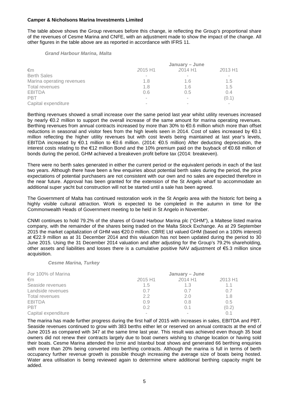The table above shows the Group revenues before this change, ie reflecting the Group's proportional share of the revenues of Cesme Marina and CNFE, with an adjustment made to show the impact of the change. All other figures in the table above are as reported in accordance with IFRS 11.

#### *Grand Harbour Marina, Malta*

|                           | January - June |         |         |  |
|---------------------------|----------------|---------|---------|--|
| €m                        | 2015 H1        | 2014 H1 | 2013 H1 |  |
| <b>Berth Sales</b>        |                |         |         |  |
| Marina operating revenues | 1.8            | 1.6     | 1.5     |  |
| Total revenues            | 1.8            | 1.6     | 1.5     |  |
| <b>EBITDA</b>             | 0.6            | 0.5     | 0.4     |  |
| <b>PBT</b>                | $\sim$         | $\sim$  | (0.1)   |  |
| Capital expenditure       | $\sim$         | $\sim$  | $\sim$  |  |

Berthing revenues showed a small increase over the same period last year whilst utility revenues increased by nearly €0.2 million to support the overall increase of the same amount for marina operating revenues. Berthing revenues from annual contracts increased by more than 30% to €0.6 million which more than offset reductions in seasonal and visitor fees from the high levels seen in 2014. Cost of sales increased by €0.1 million reflecting the higher utility revenues but with cost levels being maintained at last year's levels, EBITDA increased by €0.1 million to €0.6 million. (2014: €0.5 million) After deducting depreciation, the interest costs relating to the €12 million Bond and the 10% premium paid on the buyback of €0.68 million of bonds during the period, GHM achieved a breakeven profit before tax (2014: breakeven).

There were no berth sales generated in either the current period or the equivalent periods in each of the last two years. Although there have been a few enquiries about potential berth sales during the period, the price expectations of potential purchasers are not consistent with our own and no sales are expected therefore in the near future. Approval has been granted for the extension of the St Angelo wharf to accommodate an additional super yacht but construction will not be started until a sale has been agreed.

The Government of Malta has continued restoration work in the St Angelo area with the historic fort being a highly visible cultural attraction. Work is expected to be completed in the autumn in time for the Commonwealth Heads of Government meeting to be held in St Angelo in November.

CNMI continues to hold 79.2% of the shares of Grand Harbour Marina plc ("GHM"), a Maltese listed marina company, with the remainder of the shares being traded on the Malta Stock Exchange. As at 29 September 2015 the market capitalization of GHM was €20.0 million. CBRE Ltd valued GHM (based on a 100% interest) at €22.9 million as at 31 December 2014 and this valuation has not been updated during the period to 30 June 2015. Using the 31 December 2014 valuation and after adjusting for the Group's 79.2% shareholding, other assets and liabilities and losses there is a cumulative positive NAV adjustment of €5.3 million since acquisition.

#### *Cesme Marina, Turkey*

| For 100% of Marina  | January - June |             |         |
|---------------------|----------------|-------------|---------|
| €m                  | 2015 H1        | 2014 H1     | 2013 H1 |
| Seaside revenues    | 1.5            | 1.3         | 1.1     |
| Landside revenues   | 0.7            | $( )_{.}$ / | 0.7     |
| Total revenues      | 22             | 2.0         | 1.8     |
| <b>EBITDA</b>       | 0.9            | 0.8         | 0.5     |
| <b>PBT</b>          | 02             | 0.1         | (0.2)   |
| Capital expenditure |                |             |         |

The marina has made further progress during the first half of 2015 with increases in sales, EBITDA and PBT. Seaside revenues continued to grow with 383 berths either let or reserved on annual contracts at the end of June 2015 as compared with 347 at the same time last year. This result was achieved even though 35 boat owners did not renew their contracts largely due to boat owners wishing to change location or having sold their boats. Cesme Marina attended the Izmir and Istanbul boat shows and generated 66 berthing enquiries with more than 20% being converted into berthing contracts. Although the marina is full in terms of berth occupancy further revenue growth is possible though increasing the average size of boats being hosted. Water area utilisation is being reviewed again to determine where additional berthing capacity might be added.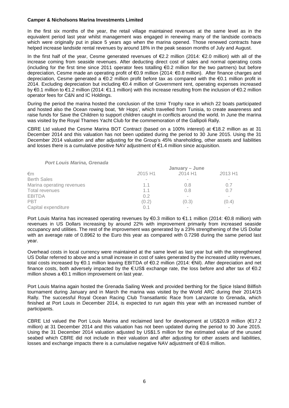In the first six months of the year, the retail village maintained revenues at the same level as in the equivalent period last year whilst management was engaged in renewing many of the landside contracts which were originally put in place 5 years ago when the marina opened. Those renewed contracts have helped increase landside rental revenues by around 18% in the peak season months of July and August.

In the first half of the year, Cesme generated revenues of €2.2 million (2014: €2.0 million) with all of the increase coming from seaside revenues. After deducting direct cost of sales and normal operating costs (including for the first time since 2011 operator fees totalling €0.2 million for the two partners) but before depreciation, Cesme made an operating profit of €0.9 million (2014: €0.8 million). After finance charges and depreciation, Cesme generated a €0.2 million profit before tax as compared with the €0.1 million profit in 2014. Excluding depreciation but including €0.4 million of Government rent, operating expenses increased by €0.1 million to €1.2 million (2014: €1.1 million) with this increase resulting from the inclusion of €0.2 million operator fees for C&N and IC Holdings.

During the period the marina hosted the conclusion of the Izmir Trophy race in which 22 boats participated and hosted also the Ocean rowing boat, 'Mr Hops', which travelled from Tunisia, to create awareness and raise funds for Save the Children to support children caught in conflicts around the world. In June the marina was visited by the Royal Thames Yacht Club for the commemoration of the Gallipoli Rally.

CBRE Ltd valued the Cesme Marina BOT Contract (based on a 100% interest) at €18.2 million as at 31 December 2014 and this valuation has not been updated during the period to 30 June 2015. Using the 31 December 2014 valuation and after adjusting for the Group's 45% shareholding, other assets and liabilities and losses there is a cumulative positive NAV adjustment of €1.4 million since acquisition.

| January - June |         |         |  |
|----------------|---------|---------|--|
| 2015 H1        | 2014 H1 | 2013 H1 |  |
|                |         |         |  |
| 1.1            | 0.8     | 0.7     |  |
| 1.1            | 0.8     | 0.7     |  |
| 0.2            |         |         |  |
| (0.2)          | (0.3)   | (0.4)   |  |
| 0.1            |         | $\sim$  |  |
|                |         |         |  |

Port Louis Marina has increased operating revenues by €0.3 million to €1.1 million (2014: €0.8 million) with revenues in US Dollars increasing by around 22% with improvement primarily from increased seaside occupancy and utilities. The rest of the improvement was generated by a 23% strengthening of the US Dollar with an average rate of 0.8962 to the Euro this year as compared with 0.7298 during the same period last year.

Overhead costs in local currency were maintained at the same level as last year but with the strengthened US Dollar referred to above and a small increase in cost of sales generated by the increased utility revenues, total costs increased by €0.1 million leaving EBITDA of €0.2 million (2014: €Nil). After depreciation and net finance costs, both adversely impacted by the €:US\$ exchange rate, the loss before and after tax of €0.2 million shows a €0.1 million improvement on last year.

Port Louis Marina again hosted the Grenada Sailing Week and provided berthing for the Spice Island Billfish tournament during January and in March the marina was visited by the World ARC during their 2014/15 Rally. The successful Royal Ocean Racing Club Transatlantic Race from Lanzarote to Grenada, which finished at Port Louis in December 2014, is expected to run again this year with an increased number of participants.

CBRE Ltd valued the Port Louis Marina and reclaimed land for development at US\$20.9 million (€17.2 million) at 31 December 2014 and this valuation has not been updated during the period to 30 June 2015. Using the 31 December 2014 valuation adjusted by US\$1.5 million for the estimated value of the unused seabed which CBRE did not include in their valuation and after adjusting for other assets and liabilities, losses and exchange impacts there is a cumulative negative NAV adjustment of €0.6 million.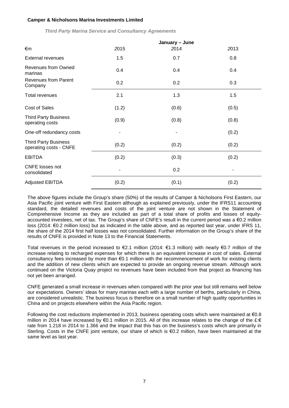|                                                       |       | January - June |       |
|-------------------------------------------------------|-------|----------------|-------|
| €m                                                    | 2015  | 2014           | 2013  |
| <b>External revenues</b>                              | 1.5   | 0.7            | 0.8   |
| <b>Revenues from Owned</b><br>marinas                 | 0.4   | 0.4            | 0.4   |
| <b>Revenues from Parent</b><br>Company                | 0.2   | 0.2            | 0.3   |
| <b>Total revenues</b>                                 | 2.1   | 1.3            | 1.5   |
| Cost of Sales                                         | (1.2) | (0.6)          | (0.5) |
| <b>Third Party Business</b><br>operating costs        | (0.9) | (0.8)          | (0.8) |
| One-off redundancy costs                              |       |                | (0.2) |
| <b>Third Party Business</b><br>operating costs - CNFE | (0.2) | (0.2)          | (0.2) |
| <b>EBITDA</b>                                         | (0.2) | (0.3)          | (0.2) |
| <b>CNFE</b> losses not<br>consolidated                |       | 0.2            |       |
| <b>Adjusted EBITDA</b>                                | (0.2) | (0.1)          | (0.2) |

*Third Party Marina Service and Consultancy Agreements*

The above figures include the Group's share (50%) of the results of Camper & Nicholsons First Eastern, our Asia Pacific joint venture with First Eastern although as explained previously, under the IFRS11 accounting standard, the detailed revenues and costs of the joint venture are not shown in the Statement of Comprehensive Income as they are included as part of a total share of profits and losses of equityaccounted investees, net of tax. The Group's share of CNFE's result in the current period was a €0.2 million loss (2014: €0.2 million loss) but as indicated in the table above, and as reported last year, under IFRS 11, the share of the 2014 first half losses was not consolidated. Further information on the Group's share of the results of CNFE is provided in Note 13 to the Financial Statements.

Total revenues in the period increased to €2.1 million (2014: €1.3 million) with nearly €0.7 million of the increase relating to recharged expenses for which there is an equivalent increase in cost of sales. External consultancy fees increased by more than €0.1 million with the recommencement of work for existing clients and the addition of new clients which are expected to provide an ongoing revenue stream. Although work continued on the Victoria Quay project no revenues have been included from that project as financing has not yet been arranged.

CNFE generated a small increase in revenues when compared with the prior year but still remains well below our expectations. Owners' ideas for many marinas each with a large number of berths, particularly in China, are considered unrealistic. The business focus is therefore on a small number of high quality opportunities in China and on projects elsewhere within the Asia Pacific region.

Following the cost reductions implemented in 2013, business operating costs which were maintained at €0.8 million in 2014 have increased by €0.1 million in 2015. All of this increase relates to the change of the £:€ rate from 1.218 in 2014 to 1.366 and the impact that this has on the business's costs which are primarily in Sterling. Costs in the CNFE joint venture, our share of which is €0.2 million, have been maintained at the same level as last year.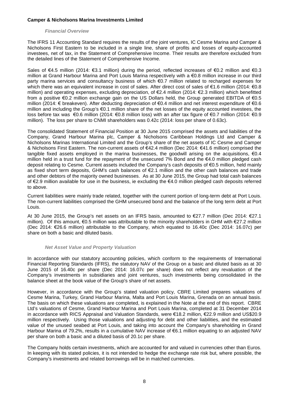#### *Financial Overview*

The IFRS 11 Accounting Standard requires the results of the joint ventures, IC Cesme Marina and Camper & Nicholsons First Eastern to be included in a single line, share of profits and losses of equity-accounted investees, net of tax, in the Statement of Comprehensive Income. Their results are therefore excluded from the detailed lines of the Statement of Comprehensive Income.

Sales of €4.5 million (2014: €3.1 million) during the period, reflected increases of €0.2 million and €0.3 million at Grand Harbour Marina and Port Louis Marina respectively with a €0.8 million increase in our third party marina services and consultancy business of which €0.7 million related to recharged expenses for which there was an equivalent increase in cost of sales. After direct cost of sales of €1.6 million (2014: €0.8 million) and operating expenses, excluding depreciation, of €2.4 million (2014: €2.3 million) which benefitted from a positive €0.2 million exchange gain on the US Dollars held, the Group generated EBITDA of €0.5 million (2014: € breakeven). After deducting depreciation of €0.4 million and net interest expenditure of €0.6 million and including the Group's €0.1 million share of the net losses of the equity accounted investees, the loss before tax was €0.6 million (2014: €0.8 million loss) with an after tax figure of €0.7 million (2014: €0.9 million). The loss per share to CNMI shareholders was 0.42c (2014: loss per share of 0.63c).

The consolidated Statement of Financial Position at 30 June 2015 comprised the assets and liabilities of the Company, Grand Harbour Marina plc, Camper & Nicholsons Caribbean Holdings Ltd and Camper & Nicholsons Marinas International Limited and the Group's share of the net assets of IC Cesme and Camper & Nicholsons First Eastern. The non-current assets of €42.4 million (Dec 2014: €41.6 million) comprised the tangible fixed assets employed in the marina businesses, the goodwill arising on the acquisitions,  $\epsilon 0.4$ million held in a trust fund for the repayment of the unsecured 7% Bond and the €4.0 million pledged cash deposit relating to Cesme. Current assets included the Company's cash deposits of €0.5 million, held mainly as fixed short term deposits, GHM's cash balances of €2.1 million and the other cash balances and trade and other debtors of the majority owned businesses. As at 30 June 2015, the Group had total cash balances of €2.9 million available for use in the business, ie excluding the €4.0 million pledged cash deposits referred to above.

Current liabilities were mainly trade related, together with the current portion of long-term debt at Port Louis. The non-current liabilities comprised the GHM unsecured bond and the balance of the long term debt at Port Louis.

At 30 June 2015, the Group's net assets on an IFRS basis, amounted to €27.7 million (Dec 2014: €27.1 million). Of this amount, €0.5 million was attributable to the minority shareholders in GHM with €27.2 million (Dec 2014: €26.6 million) attributable to the Company, which equated to 16.40c (Dec 2014: 16.07c) per share on both a basic and diluted basis.

### *Net Asset Value and Property Valuation*

In accordance with our statutory accounting policies, which conform to the requirements of International Financial Reporting Standards (IFRS), the statutory NAV of the Group on a basic and diluted basis as at 30 June 2015 of 16.40c per share (Dec 2014: 16.07c per share) does not reflect any revaluation of the Company's investments in subsidiaries and joint ventures, such investments being consolidated in the balance sheet at the book value of the Group's share of net assets.

However, in accordance with the Group's stated valuation policy, CBRE Limited prepares valuations of Cesme Marina, Turkey, Grand Harbour Marina, Malta and Port Louis Marina, Grenada on an annual basis. The basis on which these valuations are completed, is explained in the Note at the end of this report. CBRE Ltd's valuations of Cesme, Grand Harbour Marina and Port Louis Marina, completed at 31 December 2014 in accordance with RICS Appraisal and Valuation Standards, were €18.2 million, €22.9 million and US\$20.9 million respectively. Using those valuations and adjusting for debt and other liabilities, and the estimated value of the unused seabed at Port Louis, and taking into account the Company's shareholding in Grand Harbour Marina of 79.2%, results in a cumulative NAV increase of €6.1 million equating to an adjusted NAV per share on both a basic and a diluted basis of 20.1c per share.

The Company holds certain investments, which are accounted for and valued in currencies other than Euros. In keeping with its stated policies, it is not intended to hedge the exchange rate risk but, where possible, the Company's investments and related borrowings will be in matched currencies.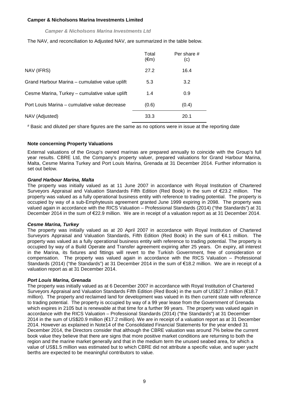### *Camper & Nicholsons Marina Investments Ltd*

The NAV, and reconciliation to Adjusted NAV, are summarized in the table below.

|                                                | Total<br>$(\epsilon m)$ | Per share #<br>(c) |
|------------------------------------------------|-------------------------|--------------------|
| NAV (IFRS)                                     | 27.2                    | 16.4               |
| Grand Harbour Marina - cumulative value uplift | 5.3                     | 3.2                |
| Cesme Marina, Turkey - cumulative value uplift | 1.4                     | 0.9                |
| Port Louis Marina – cumulative value decrease  | (0.6)                   | (0.4)              |
| NAV (Adjusted)                                 | 33.3                    | 20.1               |

# Basic and diluted per share figures are the same as no options were in issue at the reporting date

### **Note concerning Property Valuations**

External valuations of the Group's owned marinas are prepared annually to coincide with the Group's full year results. CBRE Ltd, the Company's property valuer, prepared valuations for Grand Harbour Marina, Malta, Cesme Marina Turkey and Port Louis Marina, Grenada at 31 December 2014. Further information is set out below.

### *Grand Harbour Marina, Malta*

The property was initially valued as at 11 June 2007 in accordance with Royal Institution of Chartered Surveyors Appraisal and Valuation Standards Fifth Edition (Red Book) in the sum of €23.2 million. The property was valued as a fully operational business entity with reference to trading potential. The property is occupied by way of a sub-Emphyteusis agreement granted June 1999 expiring in 2098. The property was valued again in accordance with the RICS Valuation – Professional Standards (2014) ("the Standards") at 31 December 2014 in the sum of €22.9 million. We are in receipt of a valuation report as at 31 December 2014.

### *Cesme Marina, Turkey*

The property was initially valued as at 20 April 2007 in accordance with Royal Institution of Chartered Surveyors Appraisal and Valuation Standards, Fifth Edition (Red Book) in the sum of €4.1 million. The property was valued as a fully operational business entity with reference to trading potential. The property is occupied by way of a Build Operate and Transfer agreement expiring after 25 years. On expiry, all interest in the Marina, its fixtures and fittings will revert to the Turkish Government, free of consideration or compensation. The property was valued again in accordance with the RICS Valuation – Professional Standards (2014) ("the Standards") at 31 December 2014 in the sum of €18.2 million. We are in receipt of a valuation report as at 31 December 2014.

### *Port Louis Marina, Grenada*

The property was initially valued as at 6 December 2007 in accordance with Royal Institution of Chartered Surveyors Appraisal and Valuation Standards Fifth Edition (Red Book) in the sum of US\$27.3 million (€18.7 million). The property and reclaimed land for development was valued in its then current state with reference to trading potential. The property is occupied by way of a 99 year lease from the Government of Grenada which expires in 2105 but is renewable at that time for a further 99 years. The property was valued again in accordance with the RICS Valuation – Professional Standards (2014) ("the Standards") at 31 December 2014 in the sum of US\$20.9 million (€17.2 million). We are in receipt of a valuation report as at 31 December 2014. However as explained in Note14 of the Consolidated Financial Statements for the year ended 31 December 2014, the Directors consider that although the CBRE valuation was around 7% below the current book value they believe that there are signs that more positive market conditions are returning to both the region and the marine market generally and that in the medium term the unused seabed area, for which a value of US\$1.5 million was estimated but to which CBRE did not attribute a specific value, and super yacht berths are expected to be meaningful contributors to value.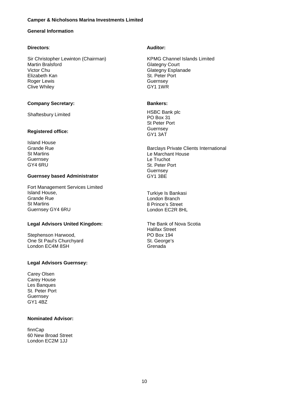### **General Information**

### **Directors**:

Sir Christopher Lewinton (Chairman) Martin Bralsford Victor Chu Elizabeth Kan Roger Lewis Clive Whiley

### **Company Secretary:**

Shaftesbury Limited

### **Registered office:**

Island House Grande Rue St Martins Guernsey GY4 6RU

### **Guernsey based Administrator**

Fort Management Services Limited Island House, Grande Rue St Martins Guernsey GY4 6RU

### **Legal Advisors United Kingdom:**

Stephenson Harwood, One St Paul's Churchyard London EC4M 8SH

### **Legal Advisors Guernsey:**

Carey Olsen Carey House Les Banques St. Peter Port **Guernsey** GY1 4BZ

### **Nominated Advisor:**

finnCap 60 New Broad Street London EC2M 1JJ

### **Auditor:**

KPMG Channel Islands Limited Glategny Court Glategny Esplanade St. Peter Port **Guernsey** GY1 1WR

### **Bankers:**

HSBC Bank plc PO Box 31 St Peter Port **Guernsey** GY1 3AT

Barclays Private Clients International Le Marchant House Le Truchot St. Peter Port **Guernsey** GY1 3BE

Turkiye Is Bankasi London Branch 8 Prince's Street London EC2R 8HL

The Bank of Nova Scotia Halifax Street PO Box 194 St. George's Grenada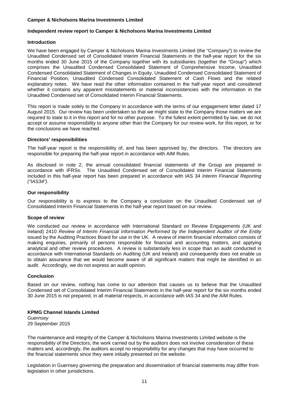### **Independent review report to Camper & Nicholsons Marina Investments Limited**

### **Introduction**

We have been engaged by Camper & Nicholsons Marina Investments Limited (the "Company") to review the Unaudited Condensed set of Consolidated Interim Financial Statements in the half-year report for the six months ended 30 June 2015 of the Company together with its subsidiaries (together the "Group") which comprises the Unaudited Condensed Consolidated Statement of Comprehensive Income, Unaudited Condensed Consolidated Statement of Changes in Equity, Unaudited Condensed Consolidated Statement of Financial Position, Unaudited Condensed Consolidated Statement of Cash Flows and the related explanatory notes. We have read the other information contained in the half-year report and considered whether it contains any apparent misstatements or material inconsistencies with the information in the Unaudited Condensed set of Consolidated Interim Financial Statements.

This report is made solely to the Company in accordance with the terms of our engagement letter dated 17 August 2015. Our review has been undertaken so that we might state to the Company those matters we are required to state to it in this report and for no other purpose. To the fullest extent permitted by law, we do not accept or assume responsibility to anyone other than the Company for our review work, for this report, or for the conclusions we have reached.

### **Directors' responsibilities**

The half-year report is the responsibility of, and has been approved by, the directors. The directors are responsible for preparing the half-year report in accordance with AIM Rules.

As disclosed in note 2, the annual consolidated financial statements of the Group are prepared in accordance with IFRSs. The Unaudited Condensed set of Consolidated Interim Financial Statements included in this half-year report has been prepared in accordance with IAS 34 *Interim Financial Reporting ("IAS34")*.

### **Our responsibility**

Our responsibility is to express to the Company a conclusion on the Unaudited Condensed set of Consolidated Interim Financial Statements in the half-year report based on our review.

### **Scope of review**

We conducted our review in accordance with International Standard on Review Engagements (UK and Ireland) 2410 *Review of Interim Financial Information Performed by the Independent Auditor of the Entity* issued by the Auditing Practices Board for use in the UK. A review of interim financial information consists of making enquiries, primarily of persons responsible for financial and accounting matters, and applying analytical and other review procedures. A review is substantially less in scope than an audit conducted in accordance with International Standards on Auditing (UK and Ireland) and consequently does not enable us to obtain assurance that we would become aware of all significant matters that might be identified in an audit. Accordingly, we do not express an audit opinion.

### **Conclusion**

Based on our review, nothing has come to our attention that causes us to believe that the Unaudited Condensed set of Consolidated Interim Financial Statements in the half-year report for the six months ended 30 June 2015 is not prepared, in all material respects, in accordance with IAS 34 and the AIM Rules.

### **KPMG Channel Islands Limited**

*Guernsey* 29 September 2015

The maintenance and integrity of the Camper & Nicholsons Marina Investments Limited website is the responsibility of the Directors; the work carried out by the auditors does not involve consideration of these matters and, accordingly, the auditors accept no responsibility for any changes that may have occurred to the financial statements since they were initially presented on the website.

Legislation in Guernsey governing the preparation and dissemination of financial statements may differ from legislation in other jurisdictions.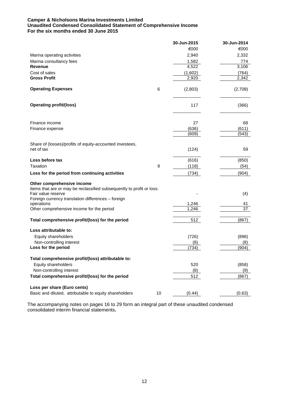### **Camper & Nicholsons Marina Investments Limited Unaudited Condensed Consolidated Statement of Comprehensive Income For the six months ended 30 June 2015**

|                                                                                                                                                                                 |    | 30-Jun-2015 | 30-Jun-2014     |
|---------------------------------------------------------------------------------------------------------------------------------------------------------------------------------|----|-------------|-----------------|
|                                                                                                                                                                                 |    | €000        | €000            |
| Marina operating activities                                                                                                                                                     |    | 2,940       | 2,332           |
| Marina consultancy fees                                                                                                                                                         |    | 1,582       | 774             |
| <b>Revenue</b>                                                                                                                                                                  |    | 4,522       | 3,106           |
| Cost of sales                                                                                                                                                                   |    | (1,602)     | (764)           |
| <b>Gross Profit</b>                                                                                                                                                             |    | 2,920       | 2,342           |
| <b>Operating Expenses</b>                                                                                                                                                       | 6  | (2,803)     | (2,708)         |
| <b>Operating profit/(loss)</b>                                                                                                                                                  |    | 117         | (366)           |
| Finance income                                                                                                                                                                  |    | 27          | 68              |
| Finance expense                                                                                                                                                                 |    | (636)       | (611)           |
|                                                                                                                                                                                 |    | (609)       | (543)           |
|                                                                                                                                                                                 |    |             |                 |
| Share of (losses)/profits of equity-accounted investees,<br>net of tax                                                                                                          |    | (124)       | 59              |
| Loss before tax                                                                                                                                                                 |    | (616)       | (850)           |
| Taxation                                                                                                                                                                        | 9  | (118)       | (54)            |
| Loss for the period from continuing activities                                                                                                                                  |    | (734)       | (904)           |
| Other comprehensive income<br>Items that are or may be reclassified subsequently to profit or loss:<br>Fair value reserve<br>Foreign currency translation differences - foreign |    |             | (4)             |
| operations                                                                                                                                                                      |    | 1,246       | 41              |
| Other comprehensive income for the period                                                                                                                                       |    | 1,246       | $\overline{37}$ |
| Total comprehensive profit/(loss) for the period                                                                                                                                |    | 512         | (867)           |
| Loss attributable to:                                                                                                                                                           |    |             |                 |
| Equity shareholders                                                                                                                                                             |    | (726)       | (896)           |
| Non-controlling interest<br>Loss for the period                                                                                                                                 |    | (8)         | (8)             |
|                                                                                                                                                                                 |    | (734)       | (904)           |
| Total comprehensive profit/(loss) attributable to:                                                                                                                              |    |             |                 |
| Equity shareholders                                                                                                                                                             |    | 520         | (858)           |
| Non-controlling interest                                                                                                                                                        |    | (8)         | (9)             |
| Total comprehensive profit/(loss) for the period                                                                                                                                |    | 512         | (867)           |
| Loss per share (Euro cents)                                                                                                                                                     |    |             |                 |
| Basic and diluted, attributable to equity shareholders                                                                                                                          | 10 | (0.44)      | (0.63)          |

The accompanying notes on pages 16 to 29 form an integral part of these unaudited condensed consolidated interim financial statements**.**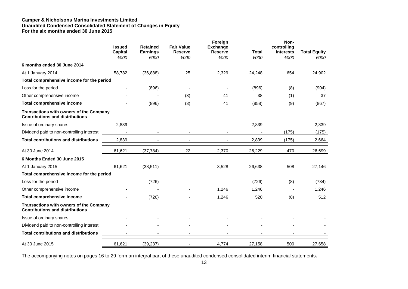#### **Camper & Nicholsons Marina Investments Limited Unaudited Condensed Consolidated Statement of Changes in Equity For the six months ended 30 June 2015**

|                                                                                   | <b>Issued</b><br><b>Capital</b><br>€000 | <b>Retained</b><br><b>Earnings</b><br>€000 | <b>Fair Value</b><br><b>Reserve</b><br>€000 | Foreign<br><b>Exchange</b><br><b>Reserve</b><br>€000 | <b>Total</b><br>€000 | Non-<br>controlling<br><b>Interests</b><br>€000 | <b>Total Equity</b><br>€000 |
|-----------------------------------------------------------------------------------|-----------------------------------------|--------------------------------------------|---------------------------------------------|------------------------------------------------------|----------------------|-------------------------------------------------|-----------------------------|
| 6 months ended 30 June 2014                                                       |                                         |                                            |                                             |                                                      |                      |                                                 |                             |
| At 1 January 2014                                                                 | 58,782                                  | (36, 888)                                  | 25                                          | 2,329                                                | 24,248               | 654                                             | 24,902                      |
| Total comprehensive income for the period                                         |                                         |                                            |                                             |                                                      |                      |                                                 |                             |
| Loss for the period                                                               |                                         | (896)                                      |                                             |                                                      | (896)                | (8)                                             | (904)                       |
| Other comprehensive income                                                        |                                         |                                            | (3)                                         | 41                                                   | 38                   | (1)                                             | 37                          |
| <b>Total comprehensive income</b>                                                 |                                         | (896)                                      | (3)                                         | 41                                                   | (858)                | (9)                                             | (867)                       |
| Transactions with owners of the Company<br><b>Contributions and distributions</b> |                                         |                                            |                                             |                                                      |                      |                                                 |                             |
| Issue of ordinary shares                                                          | 2,839                                   |                                            |                                             |                                                      | 2,839                |                                                 | 2,839                       |
| Dividend paid to non-controlling interest                                         |                                         |                                            |                                             |                                                      |                      | (175)                                           | (175)                       |
| <b>Total contributions and distributions</b>                                      | 2,839                                   |                                            |                                             |                                                      | 2,839                | (175)                                           | 2,664                       |
| At 30 June 2014                                                                   | 61,621                                  | (37, 784)                                  | 22                                          | 2,370                                                | 26,229               | 470                                             | 26,699                      |
| 6 Months Ended 30 June 2015                                                       |                                         |                                            |                                             |                                                      |                      |                                                 |                             |
| At 1 January 2015                                                                 | 61,621                                  | (38, 511)                                  |                                             | 3,528                                                | 26,638               | 508                                             | 27,146                      |
| Total comprehensive income for the period                                         |                                         |                                            |                                             |                                                      |                      |                                                 |                             |
| Loss for the period                                                               |                                         | (726)                                      |                                             |                                                      | (726)                | (8)                                             | (734)                       |
| Other comprehensive income                                                        |                                         |                                            |                                             | 1,246                                                | 1,246                |                                                 | 1,246                       |
| <b>Total comprehensive income</b>                                                 |                                         | (726)                                      |                                             | 1,246                                                | 520                  | (8)                                             | 512                         |
| Transactions with owners of the Company<br><b>Contributions and distributions</b> |                                         |                                            |                                             |                                                      |                      |                                                 |                             |
| Issue of ordinary shares                                                          |                                         |                                            |                                             |                                                      |                      |                                                 |                             |
| Dividend paid to non-controlling interest                                         |                                         |                                            |                                             |                                                      |                      |                                                 |                             |
| <b>Total contributions and distributions</b>                                      |                                         |                                            |                                             |                                                      |                      |                                                 |                             |
| At 30 June 2015                                                                   | 61,621                                  | (39, 237)                                  |                                             | 4,774                                                | 27,158               | 500                                             | 27,658                      |

The accompanying notes on pages 16 to 29 form an integral part of these unaudited condensed consolidated interim financial statements**.**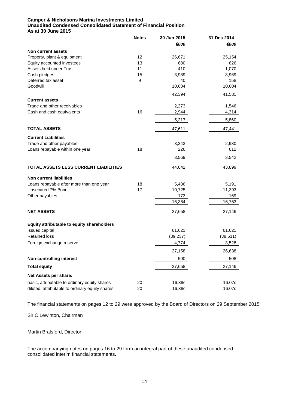### **Camper & Nicholsons Marina Investments Limited Unaudited Condensed Consolidated Statement of Financial Position As at 30 June 2015**

|                                                 | <b>Notes</b> | 30-Jun-2015<br>€000 | 31-Dec-2014<br>€000 |
|-------------------------------------------------|--------------|---------------------|---------------------|
| Non current assets                              |              |                     |                     |
| Property, plant & equipment                     | 12           | 26,671              | 25,154              |
| Equity accounted investees                      | 13           | 680                 | 626                 |
| Assets held under Trust                         | 11           | 410                 | 1,070               |
| Cash pledges                                    | 15           | 3,989               | 3,969               |
| Deferred tax asset                              | 9            | 40                  | 158                 |
| Goodwill                                        |              | 10,604              | 10,604              |
|                                                 |              | 42,394              | 41,581              |
| <b>Current assets</b>                           |              |                     |                     |
| Trade and other receivables                     |              | 2,273               | 1,546               |
| Cash and cash equivalents                       | 16           | 2,944               | 4,314               |
|                                                 |              | 5,217               | 5,860               |
| <b>TOTAL ASSETS</b>                             |              | 47,611              | 47,441              |
| <b>Current Liabilities</b>                      |              |                     |                     |
| Trade and other payables                        |              | 3,343               | 2,930               |
| Loans repayable within one year                 | 18           | 226                 | 612                 |
|                                                 |              | 3,569               | 3,542               |
| TOTAL ASSETS LESS CURRENT LIABILITIES           |              | 44,042              | 43,899              |
| <b>Non current liabilities</b>                  |              |                     |                     |
| Loans repayable after more than one year        | 18           | 5,486               | 5,191               |
| Unsecured 7% Bond                               | 17           | 10,725              | 11,393              |
| Other payables                                  |              | 173                 | 169                 |
|                                                 |              | 16,384              | 16,753              |
| <b>NET ASSETS</b>                               |              | 27,658              | 27,146              |
| Equity attributable to equity shareholders      |              |                     |                     |
| Issued capital                                  |              | 61,621              | 61,621              |
| <b>Retained loss</b>                            |              | (39, 237)           | (38, 511)           |
| Foreign exchange reserve                        |              | 4,774               | 3,528               |
|                                                 |              | 27,158              | 26,638              |
| <b>Non-controlling interest</b>                 |              | 500                 | 508                 |
|                                                 |              |                     |                     |
| <b>Total equity</b>                             |              | 27,658              | 27,146              |
| Net Assets per share:                           |              |                     |                     |
| basic, attributable to ordinary equity shares   | 20           | 16.38c              | 16.07c              |
| diluted, attributable to ordinary equity shares | 20           | 16.38c              | 16.07c              |

The financial statements on pages 12 to 29 were approved by the Board of Directors on 29 September 2015

Sir C Lewinton, Chairman

Martin Bralsford, Director

The accompanying notes on pages 16 to 29 form an integral part of these unaudited condensed consolidated interim financial statements**.**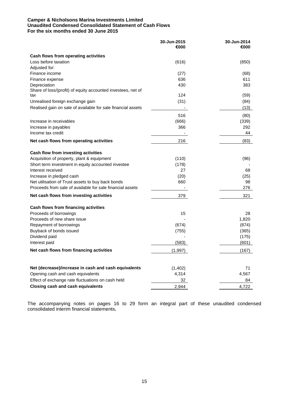### **Camper & Nicholsons Marina Investments Limited Unaudited Condensed Consolidated Statement of Cash Flows For the six months ended 30 June 2015**

|                                                                              | 30-Jun-2015  | 30-Jun-2014  |
|------------------------------------------------------------------------------|--------------|--------------|
|                                                                              | €000         | €000         |
| Cash flows from operating activities                                         |              |              |
| Loss before taxation                                                         | (616)        | (850)        |
| Adjusted for:                                                                |              |              |
| Finance income                                                               | (27)         | (68)         |
| Finance expense                                                              | 636          | 611          |
| Depreciation<br>Share of loss/(profit) of equity accounted investees, net of | 430          | 383          |
| tax                                                                          | 124          | (59)         |
| Unrealised foreign exchange gain                                             | (31)         | (84)         |
| Realised gain on sale of available for sale financial assets                 |              | (13)         |
|                                                                              |              |              |
| Increase in receivables                                                      | 516          | (80)         |
| Increase in payables                                                         | (666)<br>366 | (339)<br>292 |
| Income tax credit                                                            |              | 44           |
|                                                                              |              |              |
| Net cash flows from operating activities                                     | 216          | (83)         |
| Cash flow from investing activities                                          |              |              |
| Acquisition of property, plant & equipment                                   | (110)        | (96)         |
| Short term investment in equity accounted investee                           | (178)        |              |
| Interest received                                                            | 27           | 68           |
| Increase in pledged cash                                                     | (20)         | (25)         |
| Net utilisation of Trust assets to buy back bonds                            | 660          | 98           |
| Proceeds from sale of available for sale financial assets                    |              | 276          |
| Net cash flows from investing activities                                     | 379          | 321          |
| Cash flows from financing activities                                         |              |              |
| Proceeds of borrowings                                                       | 15           | 28           |
| Proceeds of new share issue                                                  |              | 1,820        |
| Repayment of borrowings                                                      | (674)        | (874)        |
| Buyback of bonds issued                                                      | (755)        | (365)        |
| Dividend paid                                                                |              | (175)        |
| Interest paid                                                                | (583)        | (601)        |
| Net cash flows from financing activities                                     | (1,997)      | (167)        |
|                                                                              |              |              |
| Net (decrease)/increase in cash and cash equivalents                         | (1,402)      | 71           |
| Opening cash and cash equivalents                                            | 4,314        | 4,567        |
| Effect of exchange rate fluctuations on cash held                            | 32           | 84           |
| <b>Closing cash and cash equivalents</b>                                     | 2,944        | 4,722        |

The accompanying notes on pages 16 to 29 form an integral part of these unaudited condensed consolidated interim financial statements**.**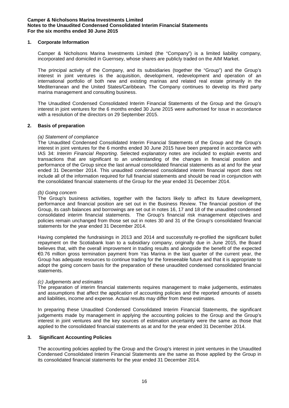### **1. Corporate Information**

Camper & Nicholsons Marina Investments Limited (the "Company") is a limited liability company, incorporated and domiciled in Guernsey, whose shares are publicly traded on the AIM Market.

The principal activity of the Company, and its subsidiaries (together the "Group") and the Group's interest in joint ventures is the acquisition, development, redevelopment and operation of an international portfolio of both new and existing marinas and related real estate primarily in the Mediterranean and the United States/Caribbean. The Company continues to develop its third party marina management and consulting business.

The Unaudited Condensed Consolidated Interim Financial Statements of the Group and the Group's interest in joint ventures for the 6 months ended 30 June 2015 were authorised for issue in accordance with a resolution of the directors on 29 September 2015.

### **2. Basis of preparation**

### *(a) Statement of compliance*

The Unaudited Condensed Consolidated Interim Financial Statements of the Group and the Group's interest in joint ventures for the 6 months ended 30 June 2015 have been prepared in accordance with IAS 34: *Interim Financial Reporting*. Selected explanatory notes are included to explain events and transactions that are significant to an understanding of the changes in financial position and performance of the Group since the last annual consolidated financial statements as at and for the year ended 31 December 2014. This unaudited condensed consolidated interim financial report does not include all of the information required for full financial statements and should be read in conjunction with the consolidated financial statements of the Group for the year ended 31 December 2014.

### *(b) Going concern*

The Group's business activities, together with the factors likely to affect its future development, performance and financial position are set out in the Business Review. The financial position of the Group, its cash balances and borrowings are set out in notes 16, 17 and 18 of the unaudited condensed consolidated interim financial statements. The Group's financial risk management objectives and policies remain unchanged from those set out in notes 30 and 31 of the Group's consolidated financial statements for the year ended 31 December 2014.

Having completed the fundraisings in 2013 and 2014 and successfully re-profiled the significant bullet repayment on the Scotiabank loan to a subsidiary company, originally due in June 2015, the Board believes that, with the overall improvement in trading results and alongside the benefit of the expected €0.76 million gross termination payment from Yas Marina in the last quarter of the current year, the Group has adequate resources to continue trading for the foreseeable future and that it is appropriate to adopt the going concern basis for the preparation of these unaudited condensed consolidated financial statements.

### *(c) Judgements and estimates*

The preparation of interim financial statements requires management to make judgements, estimates and assumptions that affect the application of accounting policies and the reported amounts of assets and liabilities, income and expense. Actual results may differ from these estimates.

In preparing these Unaudited Condensed Consolidated Interim Financial Statements, the significant judgements made by management in applying the accounting policies to the Group and the Group's interest in joint ventures and the key sources of estimation uncertainty were the same as those that applied to the consolidated financial statements as at and for the year ended 31 December 2014.

### **3. Significant Accounting Policies**

The accounting policies applied by the Group and the Group's interest in joint ventures in the Unaudited Condensed Consolidated Interim Financial Statements are the same as those applied by the Group in its consolidated financial statements for the year ended 31 December 2014.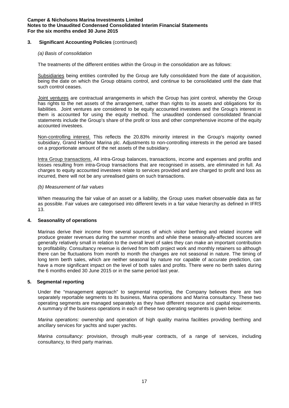### **3. Significant Accounting Policies** (continued)

### *(a) Basis of consolidation*

The treatments of the different entities within the Group in the consolidation are as follows:

Subsidiaries being entities controlled by the Group are fully consolidated from the date of acquisition, being the date on which the Group obtains control, and continue to be consolidated until the date that such control ceases.

Joint ventures are contractual arrangements in which the Group has joint control, whereby the Group has rights to the net assets of the arrangement, rather than rights to its assets and obligations for its liabilities. Joint ventures are considered to be equity accounted investees and the Group's interest in them is accounted for using the equity method. The unaudited condensed consolidated financial statements include the Group's share of the profit or loss and other comprehensive income of the equity accounted investees.

Non-controlling interest. This reflects the 20.83% minority interest in the Group's majority owned subsidiary, Grand Harbour Marina plc. Adjustments to non-controlling interests in the period are based on a proportionate amount of the net assets of the subsidiary.

Intra Group transactions. All intra-Group balances, transactions, income and expenses and profits and losses resulting from intra-Group transactions that are recognised in assets, are eliminated in full. As charges to equity accounted investees relate to services provided and are charged to profit and loss as incurred, there will not be any unrealised gains on such transactions.

### *(b) Measurement of fair values*

When measuring the fair value of an asset or a liability, the Group uses market observable data as far as possible. Fair values are categorised into different levels in a fair value hierarchy as defined in IFRS 13.

## **4. Seasonality of operations**

Marinas derive their income from several sources of which visitor berthing and related income will produce greater revenues during the summer months and while these seasonally-affected sources are generally relatively small in relation to the overall level of sales they can make an important contribution to profitability. Consultancy revenue is derived from both project work and monthly retainers so although there can be fluctuations from month to month the changes are not seasonal in nature. The timing of long term berth sales, which are neither seasonal by nature nor capable of accurate prediction, can have a more significant impact on the level of both sales and profits. There were no berth sales during the 6 months ended 30 June 2015 or in the same period last year.

### **5. Segmental reporting**

Under the "management approach" to segmental reporting, the Company believes there are two separately reportable segments to its business, Marina operations and Marina consultancy. These two operating segments are managed separately as they have different resource and capital requirements. A summary of the business operations in each of these two operating segments is given below:

*Marina operations:* ownership and operation of high quality marina facilities providing berthing and ancillary services for yachts and super yachts.

*Marina consultancy:* provision, through multi-year contracts, of a range of services, including consultancy, to third party marinas.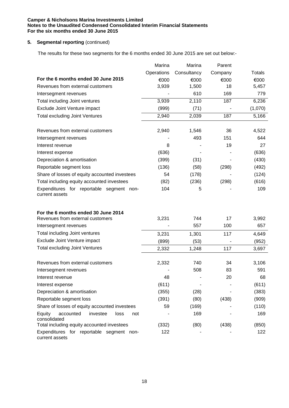### **5.** Segmental reporting (continued)

The results for these two segments for the 6 months ended 30 June 2015 are set out below:-

|                                                                | Marina     | Marina      | Parent  |         |
|----------------------------------------------------------------|------------|-------------|---------|---------|
|                                                                | Operations | Consultancy | Company | Totals  |
| For the 6 months ended 30 June 2015                            | €000       | €000        | €000    | €000    |
| Revenues from external customers                               | 3,939      | 1,500       | 18      | 5,457   |
| Intersegment revenues                                          |            | 610         | 169     | 779     |
| Total including Joint ventures                                 | 3,939      | 2,110       | 187     | 6,236   |
| Exclude Joint Venture impact                                   | (999)      | (71)        |         | (1,070) |
| <b>Total excluding Joint Ventures</b>                          | 2,940      | 2,039       | 187     | 5,166   |
| Revenues from external customers                               | 2,940      | 1,546       | 36      | 4,522   |
| Intersegment revenues                                          |            | 493         | 151     | 644     |
| Interest revenue                                               | 8          |             | 19      | 27      |
| Interest expense                                               | (636)      |             |         | (636)   |
| Depreciation & amortisation                                    | (399)      | (31)        |         | (430)   |
| Reportable segment loss                                        | (136)      | (58)        | (298)   | (492)   |
| Share of losses of equity accounted investees                  | 54         | (178)       |         | (124)   |
| Total including equity accounted investees                     | (82)       | (236)       | (298)   | (616)   |
| Expenditures for reportable segment non-<br>current assets     | 104        | 5           |         | 109     |
| For the 6 months ended 30 June 2014                            |            |             |         |         |
| Revenues from external customers                               | 3,231      | 744         | 17      | 3,992   |
| Intersegment revenues                                          |            | 557         | 100     | 657     |
| Total including Joint ventures                                 | 3,231      | 1,301       | 117     | 4,649   |
| Exclude Joint Venture impact                                   | (899)      | (53)        |         | (952)   |
| <b>Total excluding Joint Ventures</b>                          | 2,332      | 1,248       | 117     | 3,697   |
| Revenues from external customers                               | 2,332      | 740         | 34      | 3,106   |
| Intersegment revenues                                          |            | 508         | 83      | 591     |
| Interest revenue                                               | 48         |             | 20      | 68      |
| Interest expense                                               | (611)      |             |         | (611)   |
| Depreciation & amortisation                                    | (355)      | (28)        |         | (383)   |
| Reportable segment loss                                        | (391)      | (80)        | (438)   | (909)   |
| Share of losses of equity accounted investees                  | 59         | (169)       |         | (110)   |
| Equity<br>accounted<br>investee<br>loss<br>not<br>consolidated |            | 169         |         | 169     |
| Total including equity accounted investees                     | (332)      | (80)        | (438)   | (850)   |
| Expenditures for reportable segment non-<br>current assets     | 122        |             |         | 122     |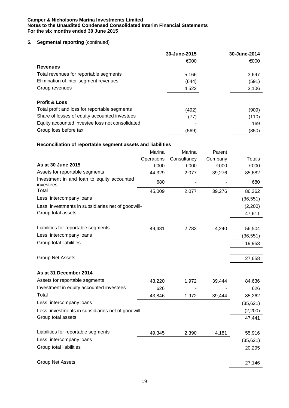### **5.** Segmental reporting (continued)

|                                                             |            | 30-June-2015<br>€000 |         | 30-June-2014<br>€000 |
|-------------------------------------------------------------|------------|----------------------|---------|----------------------|
| <b>Revenues</b>                                             |            |                      |         |                      |
| Total revenues for reportable segments                      |            | 5,166                |         | 3,697                |
| Elimination of inter-segment revenues                       |            | (644)                |         | (591)                |
| Group revenues                                              |            | 4,522                |         | 3,106                |
|                                                             |            |                      |         |                      |
| <b>Profit &amp; Loss</b>                                    |            |                      |         |                      |
| Total profit and loss for reportable segments               |            | (492)                |         | (909)                |
| Share of losses of equity accounted investees               |            | (77)                 |         | (110)                |
| Equity accounted investee loss not consolidated             |            |                      |         | 169                  |
| Group loss before tax                                       |            | (569)                |         | (850)                |
| Reconciliation of reportable segment assets and liabilities |            |                      |         |                      |
|                                                             | Marina     | Marina               | Parent  |                      |
|                                                             | Operations | Consultancy          | Company | <b>Totals</b>        |
| As at 30 June 2015                                          | €000       | €000                 | €000    | €000                 |
| Assets for reportable segments                              | 44,329     | 2,077                | 39,276  | 85,682               |
| Investment in and loan to equity accounted                  |            |                      |         |                      |
| investees                                                   | 680        |                      |         | 680                  |
| Total                                                       | 45,009     | 2,077                | 39,276  | 86,362               |
| Less: intercompany loans                                    |            |                      |         | (36, 551)            |
| Less: investments in subsidiaries net of goodwill-          |            |                      |         | (2,200)              |
| Group total assets                                          |            |                      |         | 47,611               |
|                                                             |            |                      |         |                      |
| Liabilities for reportable segments                         | 49,481     | 2,783                | 4,240   | 56,504               |
| Less: intercompany loans                                    |            |                      |         | (36, 551)            |
| Group total liabilities                                     |            |                      |         | 19,953               |
|                                                             |            |                      |         |                      |
| <b>Group Net Assets</b>                                     |            |                      |         | 27,658               |
| As at 31 December 2014                                      |            |                      |         |                      |
| Assets for reportable segments                              | 43,220     | 1,972                | 39,444  | 84,636               |
| Investment in equity accounted investees                    | 626        |                      |         | 626                  |
| Total                                                       | 43,846     | 1,972                | 39,444  | 85,262               |
| Less: intercompany loans                                    |            |                      |         | (35, 621)            |
| Less: investments in subsidiaries net of goodwill           |            |                      |         | (2,200)              |
| Group total assets                                          |            |                      |         | 47,441               |
|                                                             |            |                      |         |                      |
| Liabilities for reportable segments                         | 49,345     | 2,390                | 4,181   | 55,916               |
| Less: intercompany loans                                    |            |                      |         | (35, 621)            |
| Group total liabilities                                     |            |                      |         | 20,295               |
|                                                             |            |                      |         |                      |

Group Net Assets 27,146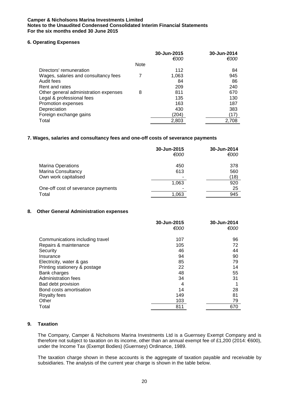### **6. Operating Expenses**

|                                       |             | 30-Jun-2015 | 30-Jun-2014 |
|---------------------------------------|-------------|-------------|-------------|
|                                       |             | €000        | €000        |
|                                       | <b>Note</b> |             |             |
| Directors' remuneration               |             | 112         | 84          |
| Wages, salaries and consultancy fees  |             | 1,063       | 945         |
| Audit fees                            |             | 84          | 86          |
| Rent and rates                        |             | 209         | 240         |
| Other general administration expenses | 8           | 811         | 670         |
| Legal & professional fees             |             | 135         | 130         |
| Promotion expenses                    |             | 163         | 187         |
| Depreciation                          |             | 430         | 383         |
| Foreign exchange gains                |             | (204)       | (17)        |
| Total                                 |             | 2,803       | 2,708       |

### **7. Wages, salaries and consultancy fees and one-off costs of severance payments**

|                                    | 30-Jun-2015<br>€000 | 30-Jun-2014<br>€000 |
|------------------------------------|---------------------|---------------------|
| <b>Marina Operations</b>           | 450                 | 378                 |
| Marina Consultancy                 | 613                 | 560                 |
| Own work capitalised               |                     | (18)                |
|                                    | 1,063               | 920                 |
| One-off cost of severance payments |                     | 25                  |
| Total                              | 1,063               | 945                 |

### **8. Other General Administration expenses**

|                                 | 30-Jun-2015 | 30-Jun-2014 |
|---------------------------------|-------------|-------------|
|                                 | €000        | €000        |
| Communications including travel | 107         | 96          |
| Repairs & maintenance           | 105         | 72          |
| Security                        | 46          | 44          |
| Insurance                       | 94          | 90          |
| Electricity, water & gas        | 85          | 79          |
| Printing stationery & postage   | 22          | 14          |
| Bank charges                    | 48          | 55          |
| <b>Administration fees</b>      | 34          | 31          |
| Bad debt provision              | 4           |             |
| Bond costs amortisation         | 14          | 28          |
| Royalty fees                    | 149         | 81          |
| Other                           | 103         | 79          |
| Total                           | 811         | 670         |

### **9. Taxation**

The Company, Camper & Nicholsons Marina Investments Ltd is a Guernsey Exempt Company and is therefore not subject to taxation on its income, other than an annual exempt fee of £1,200 (2014: €600), under the Income Tax (Exempt Bodies) (Guernsey) Ordinance, 1989.

The taxation charge shown in these accounts is the aggregate of taxation payable and receivable by subsidiaries. The analysis of the current year charge is shown in the table below.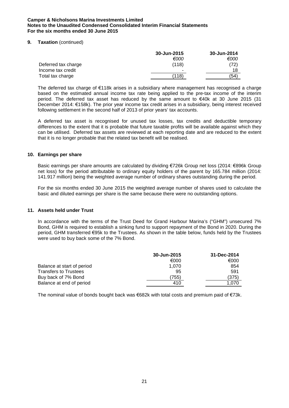### **9. Taxation** (continued)

|                     | 30-Jun-2015              | 30-Jun-2014 |
|---------------------|--------------------------|-------------|
|                     | €000                     | €000        |
| Deferred tax charge | (118)                    | (72)        |
| Income tax credit   | $\overline{\phantom{a}}$ | 18          |
| Total tax charge    | (118)                    | (54         |

The deferred tax charge of €118k arises in a subsidiary where management has recognised a charge based on the estimated annual income tax rate being applied to the pre-tax income of the interim period. The deferred tax asset has reduced by the same amount to €40k at 30 June 2015 (31 December 2014: €158k). The prior year income tax credit arises in a subsidiary, being interest received following settlement in the second half of 2013 of prior years' tax accounts.

A deferred tax asset is recognised for unused tax losses, tax credits and deductible temporary differences to the extent that it is probable that future taxable profits will be available against which they can be utilised. Deferred tax assets are reviewed at each reporting date and are reduced to the extent that it is no longer probable that the related tax benefit will be realised.

### **10. Earnings per share**

Basic earnings per share amounts are calculated by dividing €726k Group net loss (2014: €896k Group net loss) for the period attributable to ordinary equity holders of the parent by 165.784 million (2014: 141.917 million) being the weighted average number of ordinary shares outstanding during the period.

For the six months ended 30 June 2015 the weighted average number of shares used to calculate the basic and diluted earnings per share is the same because there were no outstanding options.

### **11. Assets held under Trust**

In accordance with the terms of the Trust Deed for Grand Harbour Marina's ("GHM") unsecured 7% Bond, GHM is required to establish a sinking fund to support repayment of the Bond in 2020. During the period, GHM transferred €95k to the Trustees. As shown in the table below, funds held by the Trustees were used to buy back some of the 7% Bond.

|                              | 30-Jun-2015 | 31-Dec-2014 |
|------------------------------|-------------|-------------|
|                              | €000        | €000        |
| Balance at start of period   | 1.070       | 854         |
| <b>Transfers to Trustees</b> | 95          | 591         |
| Buy back of 7% Bond          | 755)        | (375)       |
| Balance at end of period     | 410         | 1.070       |

The nominal value of bonds bought back was €682k with total costs and premium paid of €73k.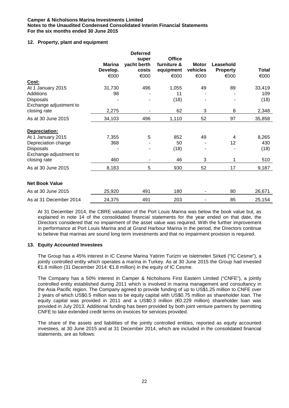### **12. Property, plant and equipment**

|                        |                  | <b>Deferred</b> |                   |                  |                         |               |
|------------------------|------------------|-----------------|-------------------|------------------|-------------------------|---------------|
|                        |                  | super           | <b>Office</b>     |                  |                         |               |
|                        | Marina           | yacht berth     | furniture &       | <b>Motor</b>     | Leasehold               |               |
|                        | Develop.<br>€000 | costs<br>€000   | equipment<br>€000 | vehicles<br>€000 | <b>Property</b><br>€000 | Total<br>€000 |
| Cost:                  |                  |                 |                   |                  |                         |               |
| At 1 January 2015      | 31,730           | 496             | 1,055             | 49               | 89                      | 33,419        |
| Additions              | 98               |                 | 11                |                  |                         | 109           |
| Disposals              |                  |                 | (18)              |                  |                         | (18)          |
| Exchange adjustment to |                  |                 |                   |                  |                         |               |
| closing rate           | 2,275            |                 | 62                | 3                | 8                       | 2,348         |
| As at 30 June 2015     | 34,103           | 496             | 1,110             | 52               | 97                      | 35,858        |
| Depreciation:          |                  |                 |                   |                  |                         |               |
| At 1 January 2015      | 7,355            | 5               | 852               | 49               | 4                       | 8,265         |
| Depreciation charge    | 368              |                 | 50                |                  | 12                      | 430           |
| Disposals              |                  |                 | (18)              |                  |                         | (18)          |
| Exchange adjustment to |                  |                 |                   |                  |                         |               |
| closing rate           | 460              |                 | 46                | 3                | 1                       | 510           |
| As at 30 June 2015     | 8,183            | 5               | 930               | 52               | 17                      | 9,187         |
| <b>Net Book Value</b>  |                  |                 |                   |                  |                         |               |
| As at 30 June 2015     | 25,920           | 491             | 180               |                  | 80                      | 26,671        |
| As at 31 December 2014 | 24,375           | 491             | 203               |                  | 85                      | 25,154        |

At 31 December 2014, the CBRE valuation of the Port Louis Marina was below the book value but, as explained in note 14 of the consolidated financial statements for the year ended on that date, the Directors considered that no impairment of the asset value was required. With the further improvement in performance at Port Louis Marina and at Grand Harbour Marina in the period, the Directors continue to believe that marinas are sound long term investments and that no impairment provision is required.

### **13. Equity Accounted Investees**

The Group has a 45% interest in IC Cesme Marina Yatirim Turizm ve Isletmeleri Sirketi ("IC Cesme"), a jointly controlled entity which operates a marina in Turkey. As at 30 June 2015 the Group had invested €1.8 million (31 December 2014: €1.8 million) in the equity of IC Cesme.

The Company has a 50% interest in Camper & Nicholsons First Eastern Limited ("CNFE"), a jointly controlled entity established during 2011 which is involved in marina management and consultancy in the Asia Pacific region. The Company agreed to provide funding of up to US\$1.25 million to CNFE over 2 years of which US\$0.5 million was to be equity capital with US\$0.75 million as shareholder loan. The equity capital was provided in 2011 and a US\$0.3 million (€0.229 million) shareholder loan was provided in July 2013. Additional funding has been provided by both joint venture partners by permitting CNFE to take extended credit terms on invoices for services provided.

The share of the assets and liabilities of the jointly controlled entities, reported as equity accounted investees, at 30 June 2015 and at 31 December 2014, which are included in the consolidated financial statements, are as follows: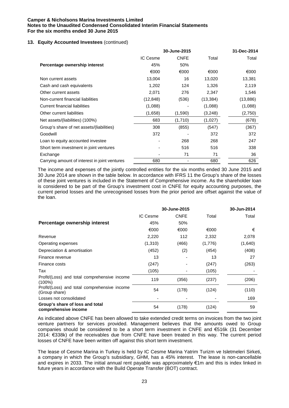### **13. Equity Accounted Investees** (continued)

|                                               | 30-June-2015             |             |           | 31-Dec-2014 |
|-----------------------------------------------|--------------------------|-------------|-----------|-------------|
|                                               | IC Cesme                 | <b>CNFE</b> | Total     | Total       |
| Percentage ownership interest                 | 45%                      | 50%         |           |             |
|                                               | €000                     | €000        | €000      | €000        |
| Non current assets                            | 13,004                   | 16          | 13,020    | 13,381      |
| Cash and cash equivalents                     | 1,202                    | 124         | 1,326     | 2,119       |
| Other current assets                          | 2,071                    | 276         | 2,347     | 1,546       |
| Non-current financial liabilities             | (12, 848)                | (536)       | (13, 384) | (13, 886)   |
| Current financial liabilities                 | (1,088)                  |             | (1,088)   | (1,088)     |
| Other current liabilities                     | (1,658)                  | (1,590)     | (3,248)   | (2,750)     |
| Net assets/(liabilities) (100%)               | 683                      | (1,710)     | (1,027)   | (678)       |
| Group's share of net assets/(liabilities)     | 308                      | (855)       | (547)     | (367)       |
| Goodwill                                      | 372                      |             | 372       | 372         |
| Loan to equity accounted investee             |                          | 268         | 268       | 247         |
| Short term investment in joint ventures       | $\overline{\phantom{0}}$ | 516         | 516       | 338         |
| Exchange                                      |                          | 71          | 71        | 36          |
| Carrying amount of interest in joint ventures | 680                      |             | 680       | 626         |

The income and expenses of the jointly controlled entities for the six months ended 30 June 2015 and 30 June 2014 are shown in the table below. In accordance with IFRS 11 the Group's share of the losses of these joint ventures is included in the Statement of Comprehensive income. As the shareholder loan is considered to be part of the Group's investment cost in CNFE for equity accounting purposes, the current period losses and the unrecognised losses from the prior period are offset against the value of the loan.

|                                                               |          | 30-June-2015             |         | 30-Jun-2014 |
|---------------------------------------------------------------|----------|--------------------------|---------|-------------|
|                                                               | IC Cesme | <b>CNFE</b>              | Total   | Total       |
| Percentage ownership interest                                 | 45%      | 50%                      |         |             |
|                                                               | €000     | €000                     | €000    | €           |
| Revenue                                                       | 2,220    | 112                      | 2,332   | 2,078       |
| Operating expenses                                            | (1,310)  | (466)                    | (1,776) | (1,640)     |
| Depreciation & amortisation                                   | (452)    | (2)                      | (454)   | (408)       |
| Finance revenue                                               | 13       | $\overline{\phantom{a}}$ | 13      | 27          |
| Finance costs                                                 | (247)    |                          | (247)   | (263)       |
| Tax                                                           | (105)    |                          | (105)   |             |
| Profit/(Loss) and total comprehensive income<br>$(100\%)$     | 119      | (356)                    | (237)   | (206)       |
| Profit/(Loss) and total comprehensive income<br>(Group share) | 54       | (178)                    | (124)   | (110)       |
| Losses not consolidated                                       |          |                          |         | 169         |
| Group's share of loss and total<br>comprehensive income       | 54       | (178)                    | (124)   | 59          |

As indicated above CNFE has been allowed to take extended credit terms on invoices from the two joint venture partners for services provided. Management believes that the amounts owed to Group companies should be considered to be a short term investment in CNFE and €516k (31 December 2014: €338k) of the receivables due from CNFE have been treated in this way. The current period losses of CNFE have been written off against this short term investment.

The lease of Cesme Marina in Turkey is held by IC Cesme Marina Yatrim Turizm ve Isletmeleri Sirketi, a company in which the Group's subsidiary, GHM, has a 45% interest. The lease is non-cancellable and expires in 2033. The initial annual rent payable was approximately €1m and this is index linked in future years in accordance with the Build Operate Transfer (BOT) contract.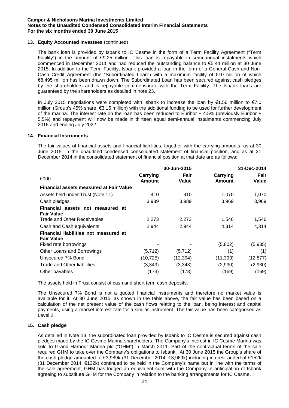### **13. Equity Accounted Investees** (continued)

The bank loan is provided by Isbank to IC Cesme in the form of a Term Facility Agreement ("Term Facility") in the amount of €9.25 million. This loan is repayable in semi-annual instalments which commenced in December 2011 and had reduced the outstanding balance to €5.44 million at 30 June 2015. In addition to the Term Facility, Isbank provided a loan in the form of a General Cash and Non-Cash Credit Agreement (the "Subordinated Loan") with a maximum facility of €10 million of which €8.495 million has been drawn down. The Subordinated Loan has been secured against cash pledges by the shareholders and is repayable commensurate with the Term Facility. The Isbank loans are guaranteed by the shareholders as detailed in note 23.

In July 2015 negotiations were completed with Isbank to increase the loan by €1.56 million to €7.0 million (Group's 45% share, €3.15 million) with the additional funding to be used for further development of the marina. The interest rate on the loan has been reduced to Euribor + 4.5% (previously Euribor + 5.5%) and repayment will now be made in thirteen equal semi-annual instalments commencing July 2016 and ending July 2022.

### **14. Financial Instruments**

The fair values of financial assets and financial liabilities, together with the carrying amounts, as at 30 June 2015, in the unaudited condensed consolidated statement of financial position, and as at 31 December 2014 in the consolidated statement of financial position at that date are as follows:

|                                                            |                           | 30-Jun-2015   |                           | 31-Dec-2014   |
|------------------------------------------------------------|---------------------------|---------------|---------------------------|---------------|
| €000                                                       | Carrying<br><b>Amount</b> | Fair<br>Value | Carrying<br><b>Amount</b> | Fair<br>Value |
| <b>Financial assets measured at Fair Value</b>             |                           |               |                           |               |
| Assets held under Trust (Note 11)                          | 410                       | 410           | 1,070                     | 1,070         |
| Cash pledges                                               | 3,989                     | 3,989         | 3,969                     | 3,969         |
| Financial assets not measured at<br><b>Fair Value</b>      |                           |               |                           |               |
| <b>Trade and Other Receivables</b>                         | 2,273                     | 2,273         | 1,546                     | 1,546         |
| Cash and Cash equivalents                                  | 2,944                     | 2,944         | 4,314                     | 4,314         |
| Financial liabilities not measured at<br><b>Fair Value</b> |                           |               |                           |               |
| Fixed rate borrowings                                      |                           |               | (5,802)                   | (5,935)       |
| Other Loans and Borrowings                                 | (5,712)                   | (5, 712)      | (1)                       | (1)           |
| Unsecured 7% Bond                                          | (10, 725)                 | (12, 394)     | (11, 393)                 | (12, 877)     |
| Trade and Other liabilities                                | (3,343)                   | (3,343)       | (2,930)                   | (2,930)       |
| Other payables                                             | (173)                     | (173)         | (169)                     | (169)         |

The assets held in Trust consist of cash and short term cash deposits.

The Unsecured 7% Bond is not a quoted financial instruments and therefore no market value is available for it. At 30 June 2015, as shown in the table above, the fair value has been based on a calculation of the net present value of the cash flows relating to the loan, being interest and capital payments, using a market interest rate for a similar instrument. The fair value has been categorised as Level 2.

### **15. Cash pledge**

As detailed in Note 13, the subordinated loan provided by Isbank to IC Cesme is secured against cash pledges made by the IC Cesme Marina shareholders. The Company's interest in IC Cesme Marina was sold to Grand Harbour Marina plc ("GHM") in March 2011. Part of the contractual terms of the sale required GHM to take over the Company's obligations to Isbank. At 30 June 2015 the Group's share of the cash pledge amounted to €3,989k (31 December 2014: €3,969k) including interest added of €152k (31 December 2014: €132k) continued to be held in the Company's name but in line with the terms of the sale agreement, GHM has lodged an equivalent sum with the Company in anticipation of Isbank agreeing to substitute GHM for the Company in relation to the banking arrangements for IC Cesme.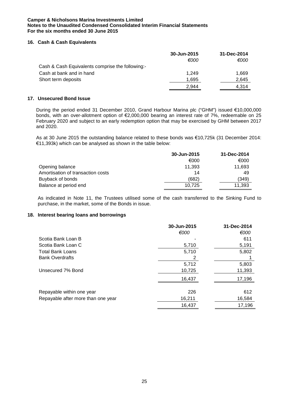### **16. Cash & Cash Equivalents**

|                                                  | 30-Jun-2015 | 31-Dec-2014 |
|--------------------------------------------------|-------------|-------------|
|                                                  | €000        | €000        |
| Cash & Cash Equivalents comprise the following:- |             |             |
| Cash at bank and in hand                         | 1.249       | 1,669       |
| Short term deposits                              | 1.695       | 2.645       |
|                                                  | 2.944       | 4.314       |

### **17. Unsecured Bond Issue**

During the period ended 31 December 2010, Grand Harbour Marina plc ("GHM") issued €10,000,000 bonds, with an over-allotment option of €2,000,000 bearing an interest rate of 7%, redeemable on 25 February 2020 and subject to an early redemption option that may be exercised by GHM between 2017 and 2020.

As at 30 June 2015 the outstanding balance related to these bonds was €10,725k (31 December 2014: €11,393k) which can be analysed as shown in the table below:

|                                   | 30-Jun-2015 | 31-Dec-2014 |
|-----------------------------------|-------------|-------------|
|                                   | €000        | €000        |
| Opening balance                   | 11.393      | 11,693      |
| Amortisation of transaction costs | 14          | 49          |
| Buyback of bonds                  | (682)       | (349)       |
| Balance at period end             | 10.725      | 11,393      |

As indicated in Note 11, the Trustees utilised some of the cash transferred to the Sinking Fund to purchase, in the market, some of the Bonds in issue.

# **18. Interest bearing loans and borrowings**

|                                    | 30-Jun-2015 | 31-Dec-2014 |
|------------------------------------|-------------|-------------|
|                                    | €000        | €000        |
| Scotia Bank Loan B                 |             | 611         |
| Scotia Bank Loan C                 | 5,710       | 5,191       |
| <b>Total Bank Loans</b>            | 5,710       | 5,802       |
| <b>Bank Overdrafts</b>             | 2           |             |
|                                    | 5,712       | 5,803       |
| Unsecured 7% Bond                  | 10,725      | 11,393      |
|                                    | 16,437      | 17,196      |
|                                    |             |             |
| Repayable within one year          | 226         | 612         |
| Repayable after more than one year | 16,211      | 16,584      |
|                                    | 16,437      | 17,196      |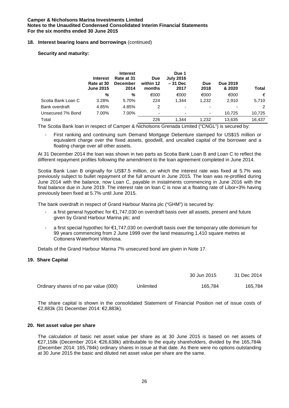### **18. Interest bearing loans and borrowings** (continued)

**Security and maturity:**

|                    | <b>Interest</b><br>Rate at 30<br><b>June 2015</b> | <b>Interest</b><br>Rate at 31<br><b>December</b><br>2014 | <b>Due</b><br>within 12<br>months | Due 1<br><b>July 2016</b><br>$-31$ Dec<br>2017 | <b>Due</b><br>2018 | Due 2019<br>& 2020       | <b>Total</b> |
|--------------------|---------------------------------------------------|----------------------------------------------------------|-----------------------------------|------------------------------------------------|--------------------|--------------------------|--------------|
|                    | %                                                 | %                                                        | €000                              | €000                                           | €000               | €000                     | €            |
| Scotia Bank Loan C | 3.28%                                             | 5.70%                                                    | 224                               | 1.344                                          | 1,232              | 2,910                    | 5,710        |
| Bank overdraft     | 4.85%                                             | 4.85%                                                    | 2                                 | ۰                                              | ۰                  | $\overline{\phantom{0}}$ | 2            |
| Unsecured 7% Bond  | 7.00%                                             | 7.00%                                                    | ٠                                 |                                                | ۰                  | 10.725                   | 10,725       |
| Total              |                                                   |                                                          | 226                               | 1.344                                          | 1.232              | 13.635                   | 16,437       |

The Scotia Bank loan in respect of Camper & Nicholsons Grenada Limited ("CNGL") is secured by:

- First ranking and continuing sum Demand Mortgage Debenture stamped for US\$15 million or equivalent charge over the fixed assets, goodwill, and uncalled capital of the borrower and a floating charge over all other assets.

At 31 December 2014 the loan was shown in two parts as Scotia Bank Loan B and Loan C to reflect the different repayment profiles following the amendment to the loan agreement completed in June 2014.

Scotia Bank Loan B originally for US\$7.5 million, on which the interest rate was fixed at 5.7% was previously subject to bullet repayment of the full amount in June 2015. The loan was re-profiled during June 2014 with the balance, now Loan C, payable in instalments commencing in June 2016 with the final balance due in June 2019. The interest rate on loan C is now at a floating rate of Libor+3% having previously been fixed at 5.7% until June 2015.

The bank overdraft in respect of Grand Harbour Marina plc ("GHM") is secured by:

- a first general hypothec for €1,747,030 on overdraft basis over all assets, present and future given by Grand Harbour Marina plc; and
- a first special hypothec for  $\epsilon$ 1,747,030 on overdraft basis over the temporary utile dominium for 99 years commencing from 2 June 1999 over the land measuring 1,410 square metres at Cottonera Waterfront Vittoriosa.

Details of the Grand Harbour Marina 7% unsecured bond are given in Note 17.

### **19. Share Capital**

|                                       |           | <b>JU JULI ZU IJ</b> | $J1$ DGU LUIT |
|---------------------------------------|-----------|----------------------|---------------|
| Ordinary shares of no par value (000) | Jnlimited | 165.784              | 165.784       |

30 Jun 2015 31 Dec 2014

The share capital is shown in the consolidated Statement of Financial Position net of issue costs of €2,883k (31 December 2014: €2,883k).

### **20. Net asset value per share**

The calculation of basic net asset value per share as at 30 June 2015 is based on net assets of €27,158k (December 2014: €26,638k) attributable to the equity shareholders, divided by the 165,784k (December 2014: 165,784k) ordinary shares in issue at that date. As there were no options outstanding at 30 June 2015 the basic and diluted net asset value per share are the same.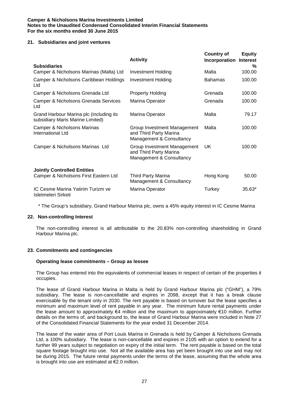### **21. Subsidiaries and joint ventures**

|                                                                             | <b>Activity</b>                                                                   | <b>Country of</b><br>Incorporation | <b>Equity</b><br><b>Interest</b> |
|-----------------------------------------------------------------------------|-----------------------------------------------------------------------------------|------------------------------------|----------------------------------|
| <b>Subsidiaries</b>                                                         |                                                                                   |                                    | %                                |
| Camper & Nicholsons Marinas (Malta) Ltd                                     | <b>Investment Holding</b>                                                         | Malta                              | 100.00                           |
| Camper & Nicholsons Caribbean Holdings<br>Ltd                               | <b>Investment Holding</b>                                                         | <b>Bahamas</b>                     | 100.00                           |
| Camper & Nicholsons Grenada Ltd                                             | <b>Property Holding</b>                                                           | Grenada                            | 100.00                           |
| Camper & Nicholsons Grenada Services<br>Ltd                                 | Marina Operator                                                                   | Grenada                            | 100.00                           |
| Grand Harbour Marina plc (including its<br>subsidiary Maris Marine Limited) | Marina Operator                                                                   | Malta                              | 79.17                            |
| Camper & Nicholsons Marinas<br>International Ltd                            | Group Investment Management<br>and Third Party Marina<br>Management & Consultancy | Malta                              | 100.00                           |
| Camper & Nicholsons Marinas Ltd                                             | Group Investment Management<br>and Third Party Marina<br>Management & Consultancy | UK                                 | 100.00                           |
| <b>Jointly Controlled Entities</b>                                          |                                                                                   |                                    |                                  |
| Camper & Nicholsons First Eastern Ltd                                       | Third Party Marina<br>Management & Consultancy                                    | Hong Kong                          | 50.00                            |
| IC Cesme Marina Yatirim Turizm ve<br>Isletmeleri Sirketi                    | Marina Operator                                                                   | Turkey                             | $35.63*$                         |

\* The Group's subsidiary, Grand Harbour Marina plc, owns a 45% equity interest in IC Cesme Marina

### **22. Non-controlling Interest**

The non-controlling interest is all attributable to the 20.83% non-controlling shareholding in Grand Harbour Marina plc.

### **23. Commitments and contingencies**

### **Operating lease commitments – Group as lessee**

The Group has entered into the equivalents of commercial leases in respect of certain of the properties it occupies.

The lease of Grand Harbour Marina in Malta is held by Grand Harbour Marina plc ("GHM"), a 79% subsidiary. The lease is non-cancellable and expires in 2098, except that it has a break clause exercisable by the tenant only in 2030. The rent payable is based on turnover but the lease specifies a minimum and maximum level of rent payable in any year. The minimum future rental payments under the lease amount to approximately €4 million and the maximum to approximately €10 million. Further details on the terms of, and background to, the lease of Grand Harbour Marina were included in Note 27 of the Consolidated Financial Statements for the year ended 31 December 2014.

The lease of the water area of Port Louis Marina in Grenada is held by Camper & Nicholsons Grenada Ltd, a 100% subsidiary. The lease is non-cancellable and expires in 2105 with an option to extend for a further 99 years subject to negotiation on expiry of the initial term. The rent payable is based on the total square footage brought into use. Not all the available area has yet been brought into use and may not be during 2015. The future rental payments under the terms of the lease, assuming that the whole area is brought into use are estimated at €2.0 million.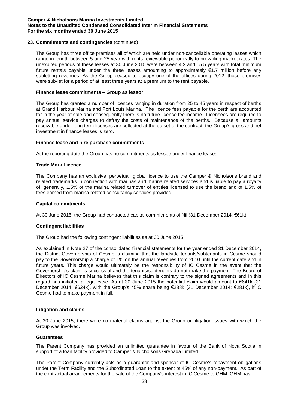### **23. Commitments and contingencies** (continued)

The Group has three office premises all of which are held under non-cancellable operating leases which range in length between 5 and 25 year with rents reviewable periodically to prevailing market rates. The unexpired periods of these leases at 30 June 2015 were between 4.2 and 15.5 years with total minimum future rentals payable under the three leases amounting to approximately €1.7 million before any subletting revenues. As the Group ceased to occupy one of the offices during 2012, those premises were sub-let for a period of at least three years at a premium to the rent payable.

### **Finance lease commitments – Group as lessor**

The Group has granted a number of licences ranging in duration from 25 to 45 years in respect of berths at Grand Harbour Marina and Port Louis Marina. The licence fees payable for the berth are accounted for in the year of sale and consequently there is no future licence fee income. Licensees are required to pay annual service charges to defray the costs of maintenance of the berths. Because all amounts receivable under long term licenses are collected at the outset of the contract, the Group's gross and net investment in finance leases is zero.

### **Finance lease and hire purchase commitments**

At the reporting date the Group has no commitments as lessee under finance leases:

### **Trade Mark Licence**

The Company has an exclusive, perpetual, global licence to use the Camper & Nicholsons brand and related trademarks in connection with marinas and marina related services and is liable to pay a royalty of, generally, 1.5% of the marina related turnover of entities licensed to use the brand and of 1.5% of fees earned from marina related consultancy services provided.

#### **Capital commitments**

At 30 June 2015, the Group had contracted capital commitments of Nil (31 December 2014: €61k)

### **Contingent liabilities**

The Group had the following contingent liabilities as at 30 June 2015:

As explained in Note 27 of the consolidated financial statements for the year ended 31 December 2014, the District Governorship of Cesme is claiming that the landside tenants/subtenants in Cesme should pay to the Governorship a charge of 1% on the annual revenues from 2010 until the current date and in future years. This charge would ultimately be the responsibility of IC Cesme in the event that the Governorship's claim is successful and the tenants/subtenants do not make the payment. The Board of Directors of IC Cesme Marina believes that this claim is contrary to the signed agreements and in this regard has initiated a legal case. As at 30 June 2015 the potential claim would amount to €641k (31 December 2014: €624k), with the Group's 45% share being €288k (31 December 2014: €281k), if IC Cesme had to make payment in full.

### **Litigation and claims**

At 30 June 2015, there were no material claims against the Group or litigation issues with which the Group was involved.

### **Guarantees**

The Parent Company has provided an unlimited guarantee in favour of the Bank of Nova Scotia in support of a loan facility provided to Camper & Nicholsons Grenada Limited.

The Parent Company currently acts as a guarantor and sponsor of IC Cesme's repayment obligations under the Term Facility and the Subordinated Loan to the extent of 45% of any non-payment. As part of the contractual arrangements for the sale of the Company's interest in IC Cesme to GHM, GHM has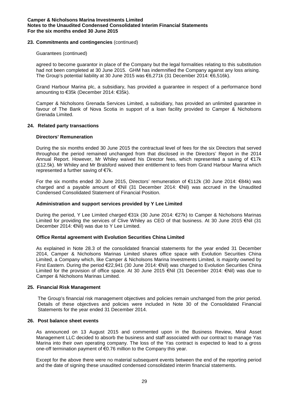### **23. Commitments and contingencies** (continued)

### Guarantees (continued)

agreed to become guarantor in place of the Company but the legal formalities relating to this substitution had not been completed at 30 June 2015. GHM has indemnified the Company against any loss arising. The Group's potential liability at 30 June 2015 was €6,271k (31 December 2014: €6,516k).

Grand Harbour Marina plc, a subsidiary, has provided a guarantee in respect of a performance bond amounting to €35k (December 2014: €35k).

Camper & Nicholsons Grenada Services Limited, a subsidiary, has provided an unlimited guarantee in favour of The Bank of Nova Scotia in support of a loan facility provided to Camper & Nicholsons Grenada Limited.

### **24. Related party transactions**

### **Directors' Remuneration**

During the six months ended 30 June 2015 the contractual level of fees for the six Directors that served throughout the period remained unchanged from that disclosed in the Directors' Report in the 2014 Annual Report. However, Mr Whiley waived his Director fees, which represented a saving of €17k (£12.5k). Mr Whiley and Mr Bralsford waived their entitlement to fees from Grand Harbour Marina which represented a further saving of €7k.

For the six months ended 30 June 2015, Directors' remuneration of €112k (30 June 2014: €84k) was charged and a payable amount of €Nil (31 December 2014: €Nil) was accrued in the Unaudited Condensed Consolidated Statement of Financial Position.

### **Administration and support services provided by Y Lee Limited**

During the period, Y Lee Limited charged €31k (30 June 2014: €27k) to Camper & Nicholsons Marinas Limited for providing the services of Clive Whiley as CEO of that business. At 30 June 2015 €Nil (31 December 2014: €Nil) was due to Y Lee Limited.

### **Office Rental agreement with Evolution Securities China Limited**

As explained in Note 28.3 of the consolidated financial statements for the year ended 31 December 2014, Camper & Nicholsons Marinas Limited shares office space with Evolution Securities China Limited, a Company which, like Camper & Nicholsons Marina Investments Limited, is majority owned by First Eastern. During the period €22,941 (30 June 2014: €Nil) was charged to Evolution Securities China Limited for the provision of office space. At 30 June 2015 €Nil (31 December 2014: €Nil) was due to Camper & Nicholsons Marinas Limited.

### **25. Financial Risk Management**

The Group's financial risk management objectives and policies remain unchanged from the prior period. Details of these objectives and policies were included in Note 30 of the Consolidated Financial Statements for the year ended 31 December 2014.

### **26. Post balance sheet events**

As announced on 13 August 2015 and commented upon in the Business Review, Miral Asset Management LLC decided to absorb the business and staff associated with our contract to manage Yas Marina into their own operating company. The loss of the Yas contract is expected to lead to a gross one-off termination payment of €0.76 million to the Company this year.

Except for the above there were no material subsequent events between the end of the reporting period and the date of signing these unaudited condensed consolidated interim financial statements.